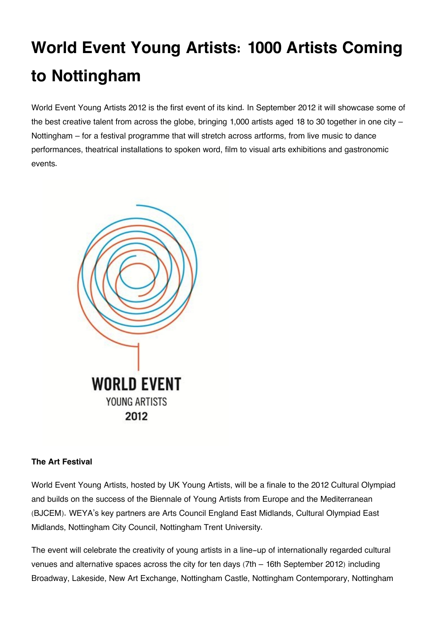# **World Event Young Artists: 1000 Artists Coming to Nottingham**

World Event Young Artists 2012 is the first event of its kind. In September 2012 it will showcase some of the best creative talent from across the globe, bringing 1,000 artists aged 18 to 30 together in one city – Nottingham – for a festival programme that will stretch across artforms, from live music to dance performances, theatrical installations to spoken word, film to visual arts exhibitions and gastronomic events.



## **The Art Festival**

World Event Young Artists, hosted by UK Young Artists, will be a finale to the 2012 Cultural Olympiad and builds on the success of the Biennale of Young Artists from Europe and the Mediterranean (BJCEM). WEYA's key partners are Arts Council England East Midlands, Cultural Olympiad East Midlands, Nottingham City Council, Nottingham Trent University.

The event will celebrate the creativity of young artists in a line-up of internationally regarded cultural venues and alternative spaces across the city for ten days (7th – 16th September 2012) including Broadway, Lakeside, New Art Exchange, Nottingham Castle, Nottingham Contemporary, Nottingham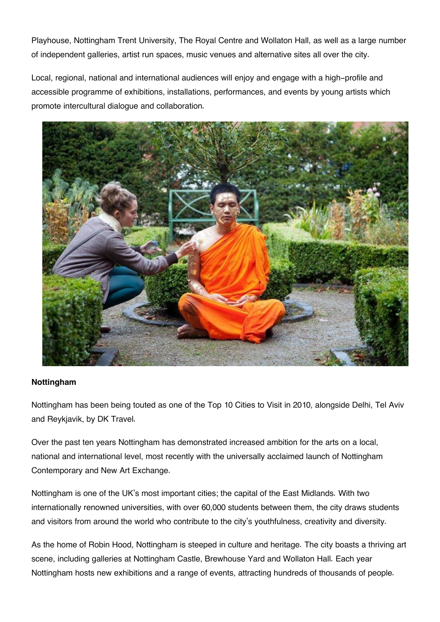Playhouse, Nottingham Trent University, The Royal Centre and Wollaton Hall, as well as a large number of independent galleries, artist run spaces, music venues and alternative sites all over the city.

Local, regional, national and international audiences will enjoy and engage with a high-profile and accessible programme of exhibitions, installations, performances, and events by young artists which promote intercultural dialogue and collaboration.



### **Nottingham**

Nottingham has been being touted as one of the Top 10 Cities to Visit in 2010, alongside Delhi, Tel Aviv and Reykjavik, by DK Travel.

Over the past ten years Nottingham has demonstrated increased ambition for the arts on a local, national and international level, most recently with the universally acclaimed launch of Nottingham Contemporary and New Art Exchange.

Nottingham is one of the UK's most important cities; the capital of the East Midlands. With two internationally renowned universities, with over 60,000 students between them, the city draws students and visitors from around the world who contribute to the city's youthfulness, creativity and diversity.

As the home of Robin Hood, Nottingham is steeped in culture and heritage. The city boasts a thriving art scene, including galleries at Nottingham Castle, Brewhouse Yard and Wollaton Hall. Each year Nottingham hosts new exhibitions and a range of events, attracting hundreds of thousands of people.